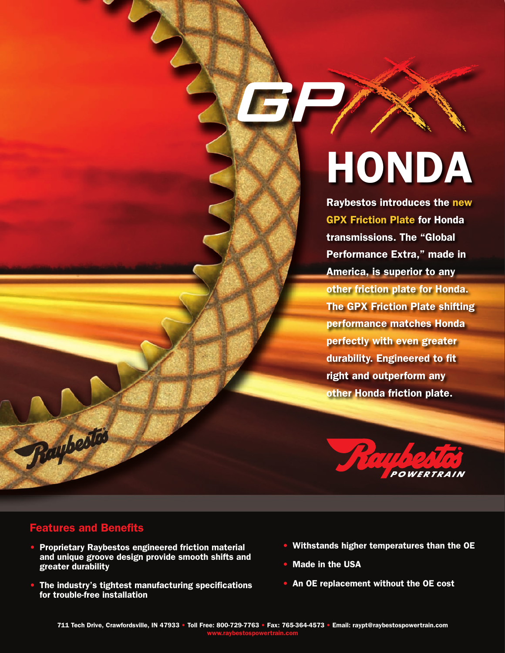## HONDA

Raybestos introduces the new GPX Friction Plate for Honda transmissions. The "Global Performance Extra," made in America, is superior to any other friction plate for Honda. The GPX Friction Plate shifting performance matches Honda perfectly with even greater durability. Engineered to fit right and outperform any other Honda friction plate.



## Features and Benefits

Raybesto

- Proprietary Raybestos engineered friction material and unique groove design provide smooth shifts and greater durability
- The industry's tightest manufacturing specifications for trouble-free installation
- Withstands higher temperatures than the OE
- Made in the USA
- An OE replacement without the OE cost